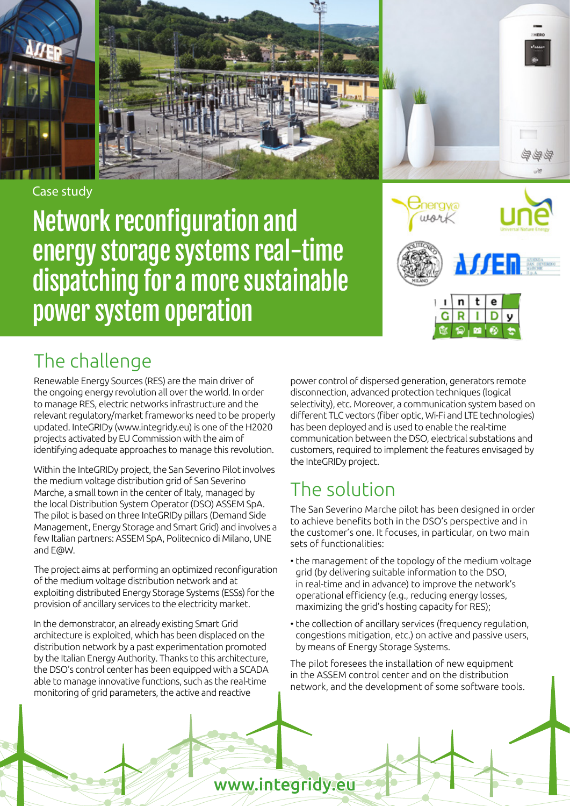

Case study

Network reconfiguration and energy storage systems real-time dispatching for a more sustainable power system operation



## The challenge

Renewable Energy Sources (RES) are the main driver of the ongoing energy revolution all over the world. In order to manage RES, electric networks infrastructure and the relevant regulatory/market frameworks need to be properly updated. InteGRIDy (www.integridy.eu) is one of the H2020 projects activated by EU Commission with the aim of identifying adequate approaches to manage this revolution.

Within the InteGRIDy project, the San Severino Pilot involves the medium voltage distribution grid of San Severino Marche, a small town in the center of Italy, managed by the local Distribution System Operator (DSO) ASSEM SpA. The pilot is based on three InteGRIDy pillars (Demand Side Management, Energy Storage and Smart Grid) and involves a few Italian partners: ASSEM SpA, Politecnico di Milano, UNE and E@W.

The project aims at performing an optimized reconfiguration of the medium voltage distribution network and at exploiting distributed Energy Storage Systems (ESSs) for the provision of ancillary services to the electricity market.

In the demonstrator, an already existing Smart Grid architecture is exploited, which has been displaced on the distribution network by a past experimentation promoted by the Italian Energy Authority. Thanks to this architecture, the DSO's control center has been equipped with a SCADA able to manage innovative functions, such as the real-time monitoring of grid parameters, the active and reactive

power control of dispersed generation, generators remote disconnection, advanced protection techniques (logical selectivity), etc. Moreover, a communication system based on different TLC vectors (fiber optic, Wi-Fi and LTE technologies) has been deployed and is used to enable the real-time communication between the DSO, electrical substations and customers, required to implement the features envisaged by the InteGRIDy project.

# The solution

The San Severino Marche pilot has been designed in order to achieve benefits both in the DSO's perspective and in the customer's one. It focuses, in particular, on two main sets of functionalities:

- the management of the topology of the medium voltage grid (by delivering suitable information to the DSO, in real-time and in advance) to improve the network's operational efficiency (e.g., reducing energy losses, maximizing the grid's hosting capacity for RES);
- the collection of ancillary services (frequency regulation, congestions mitigation, etc.) on active and passive users, by means of Energy Storage Systems.

The pilot foresees the installation of new equipment in the ASSEM control center and on the distribution network, and the development of some software tools.

www.integridy.eu